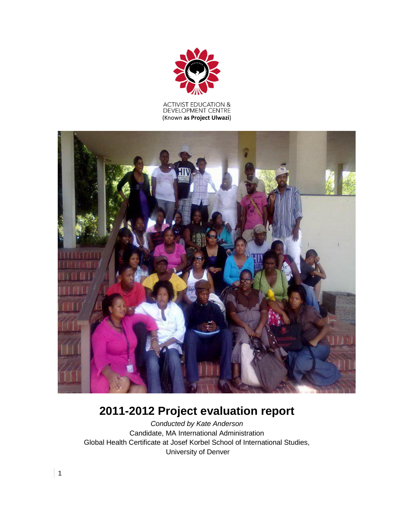

# ACTIVIST EDUCATION &<br>DEVELOPMENT CENTRE (Known **as Project Ulwazi**)



# **2011-2012 Project evaluation report**

*Conducted by Kate Anderson* Candidate, MA International Administration Global Health Certificate at Josef Korbel School of International Studies, University of Denver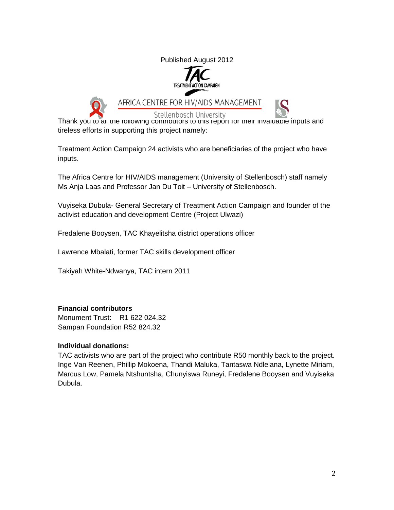Published August 2012





AFRICA CENTRE FOR HIV/AIDS MANAGEMENT



**Stellenbosch University** Thank you to all the following contributors to this report for their invaluable inputs and tireless efforts in supporting this project namely:

Treatment Action Campaign 24 activists who are beneficiaries of the project who have inputs.

The Africa Centre for HIV/AIDS management (University of Stellenbosch) staff namely Ms Anja Laas and Professor Jan Du Toit – University of Stellenbosch.

Vuyiseka Dubula- General Secretary of Treatment Action Campaign and founder of the activist education and development Centre (Project Ulwazi)

Fredalene Booysen, TAC Khayelitsha district operations officer

Lawrence Mbalati, former TAC skills development officer

Takiyah White-Ndwanya, TAC intern 2011

# **Financial contributors**

Monument Trust: R1 622 024.32 Sampan Foundation R52 824.32

# **Individual donations:**

TAC activists who are part of the project who contribute R50 monthly back to the project. Inge Van Reenen, Phillip Mokoena, Thandi Maluka, Tantaswa Ndlelana, Lynette Miriam, Marcus Low, Pamela Ntshuntsha, Chunyiswa Runeyi, Fredalene Booysen and Vuyiseka Dubula.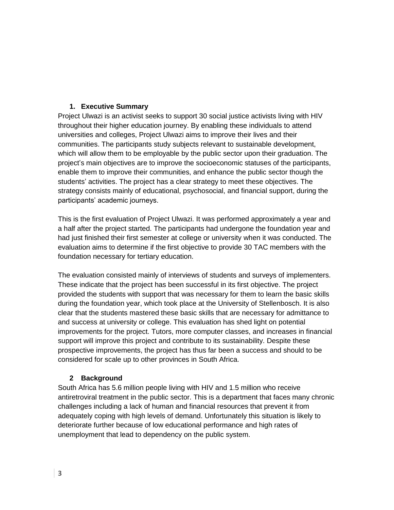# **1. Executive Summary**

Project Ulwazi is an activist seeks to support 30 social justice activists living with HIV throughout their higher education journey. By enabling these individuals to attend universities and colleges, Project Ulwazi aims to improve their lives and their communities. The participants study subjects relevant to sustainable development, which will allow them to be employable by the public sector upon their graduation. The project's main objectives are to improve the socioeconomic statuses of the participants, enable them to improve their communities, and enhance the public sector though the students' activities. The project has a clear strategy to meet these objectives. The strategy consists mainly of educational, psychosocial, and financial support, during the participants' academic journeys.

This is the first evaluation of Project Ulwazi. It was performed approximately a year and a half after the project started. The participants had undergone the foundation year and had just finished their first semester at college or university when it was conducted. The evaluation aims to determine if the first objective to provide 30 TAC members with the foundation necessary for tertiary education.

The evaluation consisted mainly of interviews of students and surveys of implementers. These indicate that the project has been successful in its first objective. The project provided the students with support that was necessary for them to learn the basic skills during the foundation year, which took place at the University of Stellenbosch. It is also clear that the students mastered these basic skills that are necessary for admittance to and success at university or college. This evaluation has shed light on potential improvements for the project. Tutors, more computer classes, and increases in financial support will improve this project and contribute to its sustainability. Despite these prospective improvements, the project has thus far been a success and should to be considered for scale up to other provinces in South Africa.

# **2 Background**

South Africa has 5.6 million people living with HIV and 1.5 million who receive antiretroviral treatment in the public sector. This is a department that faces many chronic challenges including a lack of human and financial resources that prevent it from adequately coping with high levels of demand. Unfortunately this situation is likely to deteriorate further because of low educational performance and high rates of unemployment that lead to dependency on the public system.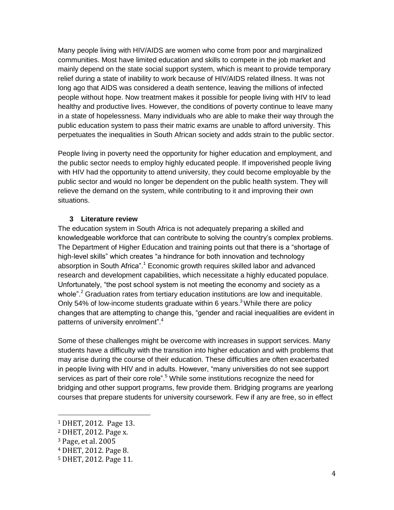Many people living with HIV/AIDS are women who come from poor and marginalized communities. Most have limited education and skills to compete in the job market and mainly depend on the state social support system, which is meant to provide temporary relief during a state of inability to work because of HIV/AIDS related illness. It was not long ago that AIDS was considered a death sentence, leaving the millions of infected people without hope. Now treatment makes it possible for people living with HIV to lead healthy and productive lives. However, the conditions of poverty continue to leave many in a state of hopelessness. Many individuals who are able to make their way through the public education system to pass their matric exams are unable to afford university. This perpetuates the inequalities in South African society and adds strain to the public sector.

People living in poverty need the opportunity for higher education and employment, and the public sector needs to employ highly educated people. If impoverished people living with HIV had the opportunity to attend university, they could become employable by the public sector and would no longer be dependent on the public health system. They will relieve the demand on the system, while contributing to it and improving their own situations.

#### **3 Literature review**

The education system in South Africa is not adequately preparing a skilled and knowledgeable workforce that can contribute to solving the country's complex problems. The Department of Higher Education and training points out that there is a "shortage of high-level skills" which creates "a hindrance for both innovation and technology absorption in South Africa".<sup>1</sup> Economic growth requires skilled labor and advanced research and development capabilities, which necessitate a highly educated populace. Unfortunately, "the post school system is not meeting the economy and society as a whole".<sup>2</sup> Graduation rates from tertiary education institutions are low and inequitable. Only 54% of low-income students graduate within 6 years.<sup>3</sup> While there are policy changes that are attempting to change this, "gender and racial inequalities are evident in patterns of university enrolment".<sup>4</sup>

Some of these challenges might be overcome with increases in support services. Many students have a difficulty with the transition into higher education and with problems that may arise during the course of their education. These difficulties are often exacerbated in people living with HIV and in adults. However, "many universities do not see support services as part of their core role".<sup>5</sup> While some institutions recognize the need for bridging and other support programs, few provide them. Bridging programs are yearlong courses that prepare students for university coursework. Few if any are free, so in effect

l

<sup>1</sup> DHET, 2012. Page 13.

<sup>2</sup> DHET, 2012. Page x.

<sup>3</sup> Page, et al. 2005

<sup>4</sup> DHET, 2012. Page 8.

<sup>5</sup> DHET, 2012. Page 11.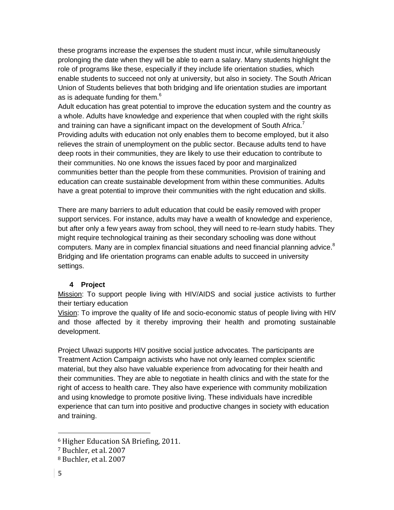these programs increase the expenses the student must incur, while simultaneously prolonging the date when they will be able to earn a salary. Many students highlight the role of programs like these, especially if they include life orientation studies, which enable students to succeed not only at university, but also in society. The South African Union of Students believes that both bridging and life orientation studies are important as is adequate funding for them. $^6$ 

Adult education has great potential to improve the education system and the country as a whole. Adults have knowledge and experience that when coupled with the right skills and training can have a significant impact on the development of South Africa.<sup>7</sup> Providing adults with education not only enables them to become employed, but it also relieves the strain of unemployment on the public sector. Because adults tend to have deep roots in their communities, they are likely to use their education to contribute to their communities. No one knows the issues faced by poor and marginalized communities better than the people from these communities. Provision of training and education can create sustainable development from within these communities. Adults have a great potential to improve their communities with the right education and skills.

There are many barriers to adult education that could be easily removed with proper support services. For instance, adults may have a wealth of knowledge and experience, but after only a few years away from school, they will need to re-learn study habits. They might require technological training as their secondary schooling was done without computers. Many are in complex financial situations and need financial planning advice. $8$ Bridging and life orientation programs can enable adults to succeed in university settings.

# **4 Project**

Mission: To support people living with HIV/AIDS and social justice activists to further their tertiary education

Vision: To improve the quality of life and socio-economic status of people living with HIV and those affected by it thereby improving their health and promoting sustainable development.

Project Ulwazi supports HIV positive social justice advocates. The participants are Treatment Action Campaign activists who have not only learned complex scientific material, but they also have valuable experience from advocating for their health and their communities. They are able to negotiate in health clinics and with the state for the right of access to health care. They also have experience with community mobilization and using knowledge to promote positive living. These individuals have incredible experience that can turn into positive and productive changes in society with education and training.

 $\overline{a}$ 

<sup>6</sup> Higher Education SA Briefing, 2011.

<sup>7</sup> Buchler, et al. 2007

<sup>8</sup> Buchler, et al. 2007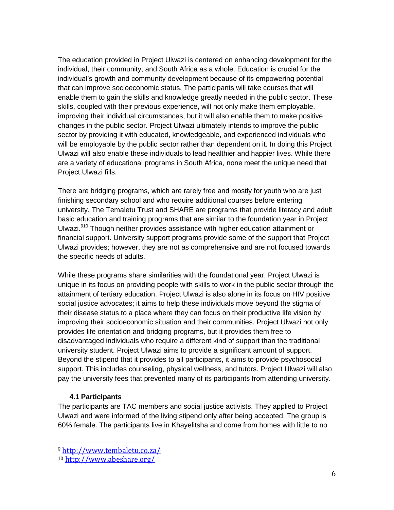The education provided in Project Ulwazi is centered on enhancing development for the individual, their community, and South Africa as a whole. Education is crucial for the individual's growth and community development because of its empowering potential that can improve socioeconomic status. The participants will take courses that will enable them to gain the skills and knowledge greatly needed in the public sector. These skills, coupled with their previous experience, will not only make them employable, improving their individual circumstances, but it will also enable them to make positive changes in the public sector. Project Ulwazi ultimately intends to improve the public sector by providing it with educated, knowledgeable, and experienced individuals who will be employable by the public sector rather than dependent on it. In doing this Project Ulwazi will also enable these individuals to lead healthier and happier lives. While there are a variety of educational programs in South Africa, none meet the unique need that Project Ulwazi fills.

There are bridging programs, which are rarely free and mostly for youth who are just finishing secondary school and who require additional courses before entering university. The Temaletu Trust and SHARE are programs that provide literacy and adult basic education and training programs that are similar to the foundation year in Project Ulwazi.<sup>910</sup> Though neither provides assistance with higher education attainment or financial support. University support programs provide some of the support that Project Ulwazi provides; however, they are not as comprehensive and are not focused towards the specific needs of adults.

While these programs share similarities with the foundational year, Project Ulwazi is unique in its focus on providing people with skills to work in the public sector through the attainment of tertiary education. Project Ulwazi is also alone in its focus on HIV positive social justice advocates; it aims to help these individuals move beyond the stigma of their disease status to a place where they can focus on their productive life vision by improving their socioeconomic situation and their communities. Project Ulwazi not only provides life orientation and bridging programs, but it provides them free to disadvantaged individuals who require a different kind of support than the traditional university student. Project Ulwazi aims to provide a significant amount of support. Beyond the stipend that it provides to all participants, it aims to provide psychosocial support. This includes counseling, physical wellness, and tutors. Project Ulwazi will also pay the university fees that prevented many of its participants from attending university.

#### **4.1 Participants**

 $\overline{a}$ 

The participants are TAC members and social justice activists. They applied to Project Ulwazi and were informed of the living stipend only after being accepted. The group is 60% female. The participants live in Khayelitsha and come from homes with little to no

<sup>9</sup> <http://www.tembaletu.co.za/>

<sup>10</sup> <http://www.abeshare.org/>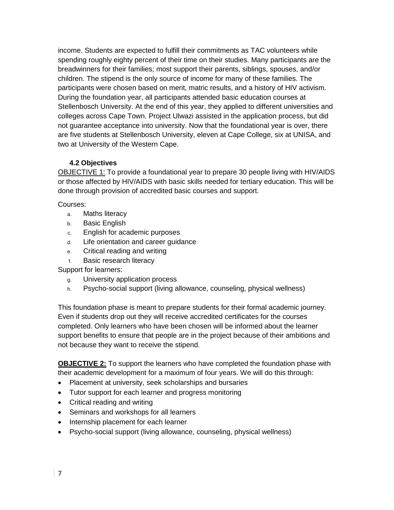income. Students are expected to fulfill their commitments as TAC volunteers while spending roughly eighty percent of their time on their studies. Many participants are the breadwinners for their families; most support their parents, siblings, spouses, and/or children. The stipend is the only source of income for many of these families. The participants were chosen based on merit, matric results, and a history of HIV activism. During the foundation year, all participants attended basic education courses at Stellenbosch University. At the end of this year, they applied to different universities and colleges across Cape Town. Project Ulwazi assisted in the application process, but did not guarantee acceptance into university. Now that the foundational year is over, there are five students at Stellenbosch University, eleven at Cape College, six at UNISA, and two at University of the Western Cape.

# **4.2 Objectives**

OBJECTIVE 1: To provide a foundational year to prepare 30 people living with HIV/AIDS or those affected by HIV/AIDS with basic skills needed for tertiary education. This will be done through provision of accredited basic courses and support.

Courses:

- a. Maths literacy
- b. Basic English
- c. English for academic purposes
- d. Life orientation and career guidance
- e. Critical reading and writing
- f. Basic research literacy

Support for learners:

- g. University application process
- h. Psycho-social support (living allowance, counseling, physical wellness)

This foundation phase is meant to prepare students for their formal academic journey. Even if students drop out they will receive accredited certificates for the courses completed. Only learners who have been chosen will be informed about the learner support benefits to ensure that people are in the project because of their ambitions and not because they want to receive the stipend.

**OBJECTIVE 2:** To support the learners who have completed the foundation phase with their academic development for a maximum of four years. We will do this through:

- Placement at university, seek scholarships and bursaries
- Tutor support for each learner and progress monitoring
- Critical reading and writing
- Seminars and workshops for all learners
- Internship placement for each learner
- Psycho-social support (living allowance, counseling, physical wellness)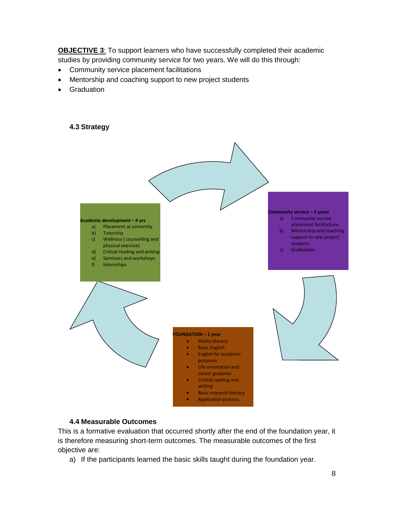**OBJECTIVE 3:** To support learners who have successfully completed their academic studies by providing community service for two years. We will do this through:

- Community service placement facilitations
- Mentorship and coaching support to new project students
- **•** Graduation

#### **4.3 Strategy**



#### **4.4 Measurable Outcomes**

This is a formative evaluation that occurred shortly after the end of the foundation year, it is therefore measuring short-term outcomes. The measurable outcomes of the first objective are:

a) If the participants learned the basic skills taught during the foundation year.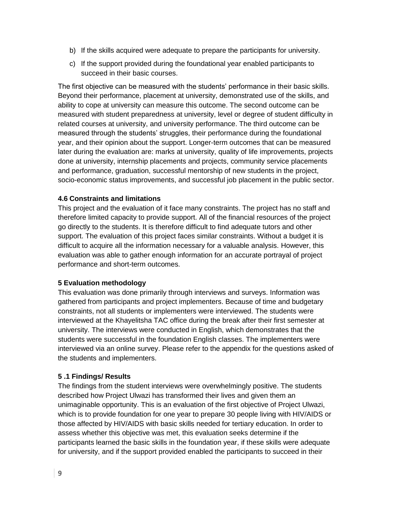- b) If the skills acquired were adequate to prepare the participants for university.
- c) If the support provided during the foundational year enabled participants to succeed in their basic courses.

The first objective can be measured with the students' performance in their basic skills. Beyond their performance, placement at university, demonstrated use of the skills, and ability to cope at university can measure this outcome. The second outcome can be measured with student preparedness at university, level or degree of student difficulty in related courses at university, and university performance. The third outcome can be measured through the students' struggles, their performance during the foundational year, and their opinion about the support. Longer-term outcomes that can be measured later during the evaluation are: marks at university, quality of life improvements, projects done at university, internship placements and projects, community service placements and performance, graduation, successful mentorship of new students in the project, socio-economic status improvements, and successful job placement in the public sector.

#### **4.6 Constraints and limitations**

This project and the evaluation of it face many constraints. The project has no staff and therefore limited capacity to provide support. All of the financial resources of the project go directly to the students. It is therefore difficult to find adequate tutors and other support. The evaluation of this project faces similar constraints. Without a budget it is difficult to acquire all the information necessary for a valuable analysis. However, this evaluation was able to gather enough information for an accurate portrayal of project performance and short-term outcomes.

#### **5 Evaluation methodology**

This evaluation was done primarily through interviews and surveys. Information was gathered from participants and project implementers. Because of time and budgetary constraints, not all students or implementers were interviewed. The students were interviewed at the Khayelitsha TAC office during the break after their first semester at university. The interviews were conducted in English, which demonstrates that the students were successful in the foundation English classes. The implementers were interviewed via an online survey. Please refer to the appendix for the questions asked of the students and implementers.

#### **5 .1 Findings/ Results**

The findings from the student interviews were overwhelmingly positive. The students described how Project Ulwazi has transformed their lives and given them an unimaginable opportunity. This is an evaluation of the first objective of Project Ulwazi, which is to provide foundation for one year to prepare 30 people living with HIV/AIDS or those affected by HIV/AIDS with basic skills needed for tertiary education. In order to assess whether this objective was met, this evaluation seeks determine if the participants learned the basic skills in the foundation year, if these skills were adequate for university, and if the support provided enabled the participants to succeed in their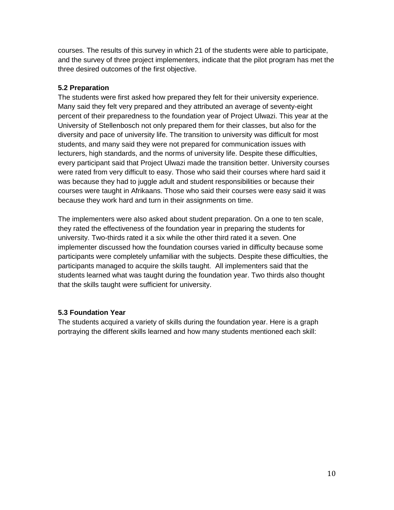courses. The results of this survey in which 21 of the students were able to participate, and the survey of three project implementers, indicate that the pilot program has met the three desired outcomes of the first objective.

# **5.2 Preparation**

The students were first asked how prepared they felt for their university experience. Many said they felt very prepared and they attributed an average of seventy-eight percent of their preparedness to the foundation year of Project Ulwazi. This year at the University of Stellenbosch not only prepared them for their classes, but also for the diversity and pace of university life. The transition to university was difficult for most students, and many said they were not prepared for communication issues with lecturers, high standards, and the norms of university life. Despite these difficulties, every participant said that Project Ulwazi made the transition better. University courses were rated from very difficult to easy. Those who said their courses where hard said it was because they had to juggle adult and student responsibilities or because their courses were taught in Afrikaans. Those who said their courses were easy said it was because they work hard and turn in their assignments on time.

The implementers were also asked about student preparation. On a one to ten scale, they rated the effectiveness of the foundation year in preparing the students for university. Two-thirds rated it a six while the other third rated it a seven. One implementer discussed how the foundation courses varied in difficulty because some participants were completely unfamiliar with the subjects. Despite these difficulties, the participants managed to acquire the skills taught. All implementers said that the students learned what was taught during the foundation year. Two thirds also thought that the skills taught were sufficient for university.

# **5.3 Foundation Year**

The students acquired a variety of skills during the foundation year. Here is a graph portraying the different skills learned and how many students mentioned each skill: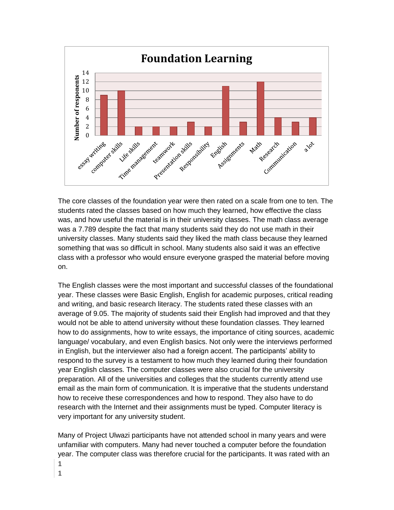

The core classes of the foundation year were then rated on a scale from one to ten. The students rated the classes based on how much they learned, how effective the class was, and how useful the material is in their university classes. The math class average was a 7.789 despite the fact that many students said they do not use math in their university classes. Many students said they liked the math class because they learned something that was so difficult in school. Many students also said it was an effective class with a professor who would ensure everyone grasped the material before moving on.

The English classes were the most important and successful classes of the foundational year. These classes were Basic English, English for academic purposes, critical reading and writing, and basic research literacy. The students rated these classes with an average of 9.05. The majority of students said their English had improved and that they would not be able to attend university without these foundation classes. They learned how to do assignments, how to write essays, the importance of citing sources, academic language/ vocabulary, and even English basics. Not only were the interviews performed in English, but the interviewer also had a foreign accent. The participants' ability to respond to the survey is a testament to how much they learned during their foundation year English classes. The computer classes were also crucial for the university preparation. All of the universities and colleges that the students currently attend use email as the main form of communication. It is imperative that the students understand how to receive these correspondences and how to respond. They also have to do research with the Internet and their assignments must be typed. Computer literacy is very important for any university student.

Many of Project Ulwazi participants have not attended school in many years and were unfamiliar with computers. Many had never touched a computer before the foundation year. The computer class was therefore crucial for the participants. It was rated with an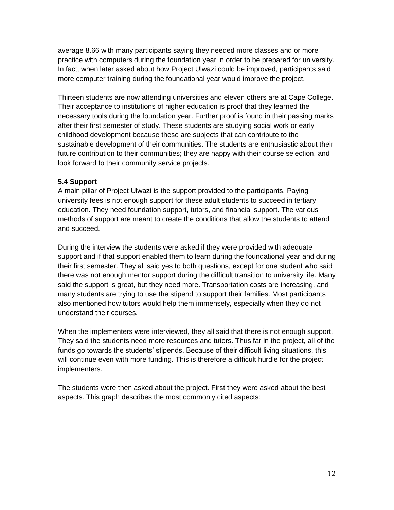average 8.66 with many participants saying they needed more classes and or more practice with computers during the foundation year in order to be prepared for university. In fact, when later asked about how Project Ulwazi could be improved, participants said more computer training during the foundational year would improve the project.

Thirteen students are now attending universities and eleven others are at Cape College. Their acceptance to institutions of higher education is proof that they learned the necessary tools during the foundation year. Further proof is found in their passing marks after their first semester of study. These students are studying social work or early childhood development because these are subjects that can contribute to the sustainable development of their communities. The students are enthusiastic about their future contribution to their communities; they are happy with their course selection, and look forward to their community service projects.

# **5.4 Support**

A main pillar of Project Ulwazi is the support provided to the participants. Paying university fees is not enough support for these adult students to succeed in tertiary education. They need foundation support, tutors, and financial support. The various methods of support are meant to create the conditions that allow the students to attend and succeed.

During the interview the students were asked if they were provided with adequate support and if that support enabled them to learn during the foundational year and during their first semester. They all said yes to both questions, except for one student who said there was not enough mentor support during the difficult transition to university life. Many said the support is great, but they need more. Transportation costs are increasing, and many students are trying to use the stipend to support their families. Most participants also mentioned how tutors would help them immensely, especially when they do not understand their courses.

When the implementers were interviewed, they all said that there is not enough support. They said the students need more resources and tutors. Thus far in the project, all of the funds go towards the students' stipends. Because of their difficult living situations, this will continue even with more funding. This is therefore a difficult hurdle for the project implementers.

The students were then asked about the project. First they were asked about the best aspects. This graph describes the most commonly cited aspects: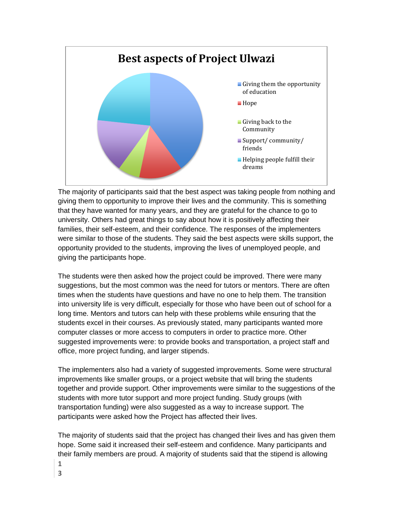

The majority of participants said that the best aspect was taking people from nothing and giving them to opportunity to improve their lives and the community. This is something that they have wanted for many years, and they are grateful for the chance to go to university. Others had great things to say about how it is positively affecting their families, their self-esteem, and their confidence. The responses of the implementers were similar to those of the students. They said the best aspects were skills support, the opportunity provided to the students, improving the lives of unemployed people, and giving the participants hope.

The students were then asked how the project could be improved. There were many suggestions, but the most common was the need for tutors or mentors. There are often times when the students have questions and have no one to help them. The transition into university life is very difficult, especially for those who have been out of school for a long time. Mentors and tutors can help with these problems while ensuring that the students excel in their courses. As previously stated, many participants wanted more computer classes or more access to computers in order to practice more. Other suggested improvements were: to provide books and transportation, a project staff and office, more project funding, and larger stipends.

The implementers also had a variety of suggested improvements. Some were structural improvements like smaller groups, or a project website that will bring the students together and provide support. Other improvements were similar to the suggestions of the students with more tutor support and more project funding. Study groups (with transportation funding) were also suggested as a way to increase support. The participants were asked how the Project has affected their lives.

The majority of students said that the project has changed their lives and has given them hope. Some said it increased their self-esteem and confidence. Many participants and their family members are proud. A majority of students said that the stipend is allowing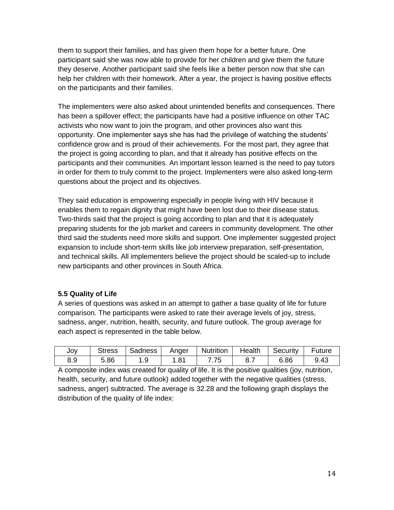them to support their families, and has given them hope for a better future. One participant said she was now able to provide for her children and give them the future they deserve. Another participant said she feels like a better person now that she can help her children with their homework. After a year, the project is having positive effects on the participants and their families.

The implementers were also asked about unintended benefits and consequences. There has been a spillover effect; the participants have had a positive influence on other TAC activists who now want to join the program, and other provinces also want this opportunity. One implementer says she has had the privilege of watching the students' confidence grow and is proud of their achievements. For the most part, they agree that the project is going according to plan, and that it already has positive effects on the participants and their communities. An important lesson learned is the need to pay tutors in order for them to truly commit to the project. Implementers were also asked long-term questions about the project and its objectives.

They said education is empowering especially in people living with HIV because it enables them to regain dignity that might have been lost due to their disease status. Two-thirds said that the project is going according to plan and that it is adequately preparing students for the job market and careers in community development. The other third said the students need more skills and support. One implementer suggested project expansion to include short-term skills like job interview preparation, self-presentation, and technical skills. All implementers believe the project should be scaled-up to include new participants and other provinces in South Africa.

# **5.5 Quality of Life**

A series of questions was asked in an attempt to gather a base quality of life for future comparison. The participants were asked to rate their average levels of joy, stress, sadness, anger, nutrition, health, security, and future outlook. The group average for each aspect is represented in the table below.

| JOV | <b>Stress</b> | Sadness | Anger         | Nutrition | Health | Security | Future |
|-----|---------------|---------|---------------|-----------|--------|----------|--------|
| 8.9 | 5.86          | . .9    | $.8^{\prime}$ |           |        | 6.86     | 9.43   |

A composite index was created for quality of life. It is the positive qualities (joy, nutrition, health, security, and future outlook) added together with the negative qualities (stress, sadness, anger) subtracted. The average is 32.28 and the following graph displays the distribution of the quality of life index: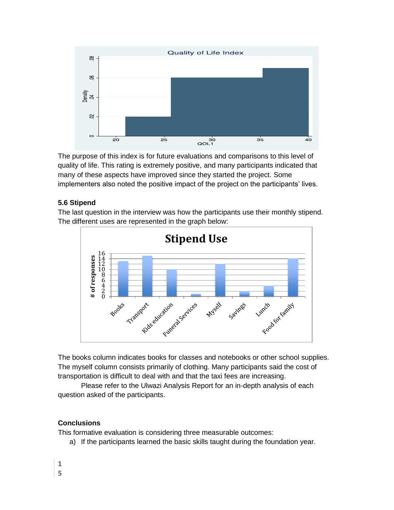

The purpose of this index is for future evaluations and comparisons to this level of quality of life. This rating is extremely positive, and many participants indicated that many of these aspects have improved since they started the project. Some implementers also noted the positive impact of the project on the participants' lives.

# **5.6 Stipend**

The last question in the interview was how the participants use their monthly stipend. The different uses are represented in the graph below:



The books column indicates books for classes and notebooks or other school supplies. The myself column consists primarily of clothing. Many participants said the cost of transportation is difficult to deal with and that the taxi fees are increasing.

Please refer to the Ulwazi Analysis Report for an in-depth analysis of each question asked of the participants.

# **Conclusions**

This formative evaluation is considering three measurable outcomes:

a) If the participants learned the basic skills taught during the foundation year.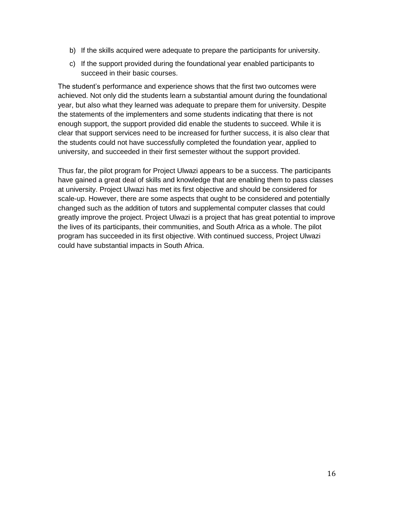- b) If the skills acquired were adequate to prepare the participants for university.
- c) If the support provided during the foundational year enabled participants to succeed in their basic courses.

The student's performance and experience shows that the first two outcomes were achieved. Not only did the students learn a substantial amount during the foundational year, but also what they learned was adequate to prepare them for university. Despite the statements of the implementers and some students indicating that there is not enough support, the support provided did enable the students to succeed. While it is clear that support services need to be increased for further success, it is also clear that the students could not have successfully completed the foundation year, applied to university, and succeeded in their first semester without the support provided.

Thus far, the pilot program for Project Ulwazi appears to be a success. The participants have gained a great deal of skills and knowledge that are enabling them to pass classes at university. Project Ulwazi has met its first objective and should be considered for scale-up. However, there are some aspects that ought to be considered and potentially changed such as the addition of tutors and supplemental computer classes that could greatly improve the project. Project Ulwazi is a project that has great potential to improve the lives of its participants, their communities, and South Africa as a whole. The pilot program has succeeded in its first objective. With continued success, Project Ulwazi could have substantial impacts in South Africa.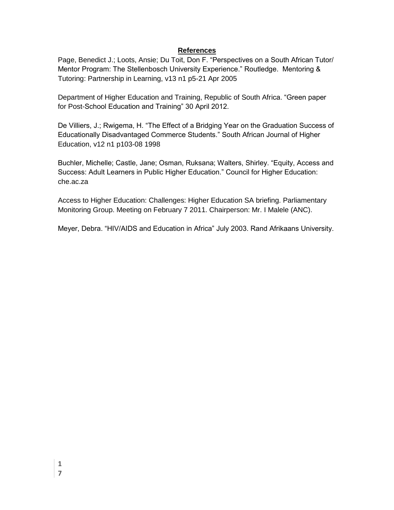#### **References**

Page, Benedict J.; Loots, Ansie; Du Toit, Don F. "Perspectives on a South African Tutor/ Mentor Program: The Stellenbosch University Experience." Routledge. Mentoring & Tutoring: Partnership in Learning, v13 n1 p5-21 Apr 2005

Department of Higher Education and Training, Republic of South Africa. "Green paper for Post-School Education and Training" 30 April 2012.

De Villiers, J.; Rwigema, H. "The Effect of a Bridging Year on the Graduation Success of Educationally Disadvantaged Commerce Students." South African Journal of Higher Education, v12 n1 p103-08 1998

Buchler, Michelle; Castle, Jane; Osman, Ruksana; Walters, Shirley. "Equity, Access and Success: Adult Learners in Public Higher Education." Council for Higher Education: che.ac.za

Access to Higher Education: Challenges: Higher Education SA briefing. Parliamentary Monitoring Group. Meeting on February 7 2011. Chairperson: Mr. I Malele (ANC).

Meyer, Debra. "HIV/AIDS and Education in Africa" July 2003. Rand Afrikaans University.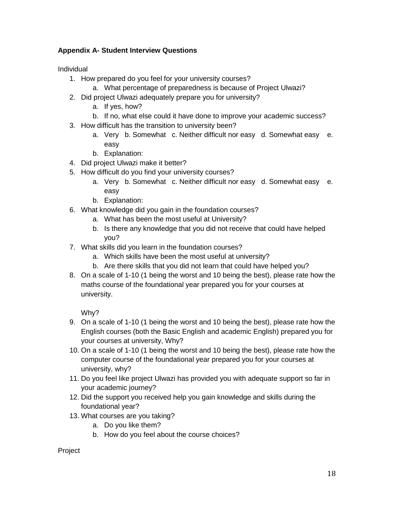# **Appendix A- Student Interview Questions**

Individual

- 1. How prepared do you feel for your university courses?
	- a. What percentage of preparedness is because of Project Ulwazi?
- 2. Did project Ulwazi adequately prepare you for university?
	- a. If yes, how?
	- b. If no, what else could it have done to improve your academic success?
- 3. How difficult has the transition to university been?
	- a. Very b. Somewhat c. Neither difficult nor easy d. Somewhat easy e. easy
	- b. Explanation:
- 4. Did project Ulwazi make it better?
- 5. How difficult do you find your university courses?
	- a. Very b. Somewhat c. Neither difficult nor easy d. Somewhat easy e. easy
	- b. Explanation:
- 6. What knowledge did you gain in the foundation courses?
	- a. What has been the most useful at University?
	- b. Is there any knowledge that you did not receive that could have helped you?
- 7. What skills did you learn in the foundation courses?
	- a. Which skills have been the most useful at university?
	- b. Are there skills that you did not learn that could have helped you?
- 8. On a scale of 1-10 (1 being the worst and 10 being the best), please rate how the maths course of the foundational year prepared you for your courses at university.

Why?

- 9. On a scale of 1-10 (1 being the worst and 10 being the best), please rate how the English courses (both the Basic English and academic English) prepared you for your courses at university, Why?
- 10. On a scale of 1-10 (1 being the worst and 10 being the best), please rate how the computer course of the foundational year prepared you for your courses at university, why?
- 11. Do you feel like project Ulwazi has provided you with adequate support so far in your academic journey?
- 12. Did the support you received help you gain knowledge and skills during the foundational year?
- 13. What courses are you taking?
	- a. Do you like them?
	- b. How do you feel about the course choices?

# Project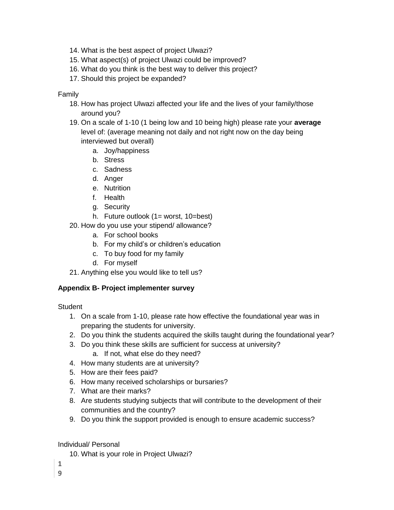- 14. What is the best aspect of project Ulwazi?
- 15. What aspect(s) of project Ulwazi could be improved?
- 16. What do you think is the best way to deliver this project?
- 17. Should this project be expanded?

# Family

- 18. How has project Ulwazi affected your life and the lives of your family/those around you?
- 19. On a scale of 1-10 (1 being low and 10 being high) please rate your **average** level of: (average meaning not daily and not right now on the day being interviewed but overall)
	- a. Joy/happiness
	- b. Stress
	- c. Sadness
	- d. Anger
	- e. Nutrition
	- f. Health
	- g. Security
	- h. Future outlook (1= worst, 10=best)
- 20. How do you use your stipend/ allowance?
	- a. For school books
	- b. For my child's or children's education
	- c. To buy food for my family
	- d. For myself
- 21. Anything else you would like to tell us?

# **Appendix B- Project implementer survey**

**Student** 

- 1. On a scale from 1-10, please rate how effective the foundational year was in preparing the students for university.
- 2. Do you think the students acquired the skills taught during the foundational year?
- 3. Do you think these skills are sufficient for success at university?
	- a. If not, what else do they need?
- 4. How many students are at university?
- 5. How are their fees paid?
- 6. How many received scholarships or bursaries?
- 7. What are their marks?
- 8. Are students studying subjects that will contribute to the development of their communities and the country?
- 9. Do you think the support provided is enough to ensure academic success?

# Individual/ Personal

- 10. What is your role in Project Ulwazi?
- **1 9**